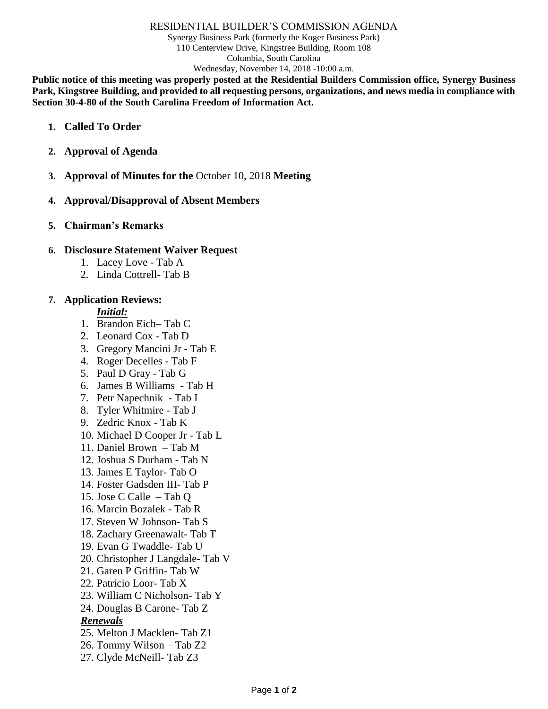#### RESIDENTIAL BUILDER'S COMMISSION AGENDA

Synergy Business Park (formerly the Koger Business Park) 110 Centerview Drive, Kingstree Building, Room 108 Columbia, South Carolina Wednesday, November 14, 2018 -10:00 a.m.

**Public notice of this meeting was properly posted at the Residential Builders Commission office, Synergy Business Park, Kingstree Building, and provided to all requesting persons, organizations, and news media in compliance with Section 30-4-80 of the South Carolina Freedom of Information Act.**

- **1. Called To Order**
- **2. Approval of Agenda**
- **3. Approval of Minutes for the** October 10, 2018 **Meeting**

## **4. Approval/Disapproval of Absent Members**

**5. Chairman's Remarks**

## **6. Disclosure Statement Waiver Request**

- 1. Lacey Love Tab A
- 2. Linda Cottrell- Tab B

## **7. Application Reviews:**

## *Initial:*

- 1. Brandon Eich– Tab C
- 2. Leonard Cox Tab D
- 3. Gregory Mancini Jr Tab E
- 4. Roger Decelles Tab F
- 5. Paul D Gray Tab G
- 6. James B Williams Tab H
- 7. Petr Napechnik Tab I
- 8. Tyler Whitmire Tab J
- 9. Zedric Knox Tab K
- 10. Michael D Cooper Jr Tab L
- 11. Daniel Brown Tab M
- 12. Joshua S Durham Tab N
- 13. James E Taylor- Tab O
- 14. Foster Gadsden III- Tab P
- 15. Jose C Calle Tab Q
- 16. Marcin Bozalek Tab R
- 17. Steven W Johnson- Tab S
- 18. Zachary Greenawalt- Tab T
- 19. Evan G Twaddle- Tab U
- 20. Christopher J Langdale- Tab V
- 21. Garen P Griffin- Tab W
- 22. Patricio Loor- Tab X
- 23. William C Nicholson- Tab Y
- 24. Douglas B Carone- Tab Z

# *Renewals*

- 25. Melton J Macklen- Tab Z1
- 26. Tommy Wilson Tab Z2
- 27. Clyde McNeill- Tab Z3